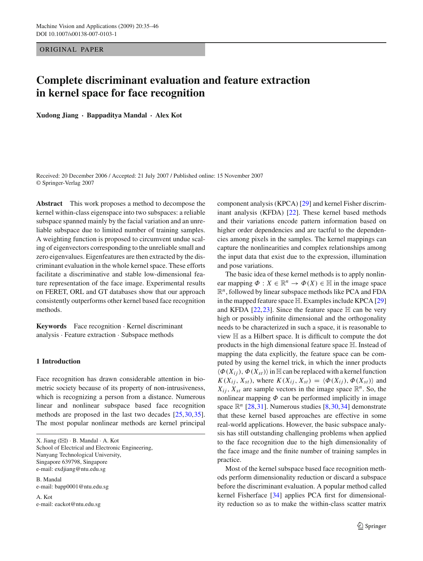ORIGINAL PAPER

# **Complete discriminant evaluation and feature extraction in kernel space for face recognition**

**Xudong Jiang · Bappaditya Mandal · Alex Kot**

Received: 20 December 2006 / Accepted: 21 July 2007 / Published online: 15 November 2007 © Springer-Verlag 2007

**Abstract** This work proposes a method to decompose the kernel within-class eigenspace into two subspaces: a reliable subspace spanned mainly by the facial variation and an unreliable subspace due to limited number of training samples. A weighting function is proposed to circumvent undue scaling of eigenvectors corresponding to the unreliable small and zero eigenvalues. Eigenfeatures are then extracted by the discriminant evaluation in the whole kernel space. These efforts facilitate a discriminative and stable low-dimensional feature representation of the face image. Experimental results on FERET, ORL and GT databases show that our approach consistently outperforms other kernel based face recognition methods.

**Keywords** Face recognition · Kernel discriminant analysis · Feature extraction · Subspace methods

## **1 Introduction**

Face recognition has drawn considerable attention in biometric society because of its property of non-intrusiveness, which is recognizing a person from a distance. Numerous linear and nonlinear subspace based face recognition methods are proposed in the last two decades [\[25](#page-10-0)[,30](#page-10-1)[,35](#page-10-2)]. The most popular nonlinear methods are kernel principal

X. Jiang  $(\boxtimes) \cdot$  B. Mandal  $\cdot$  A. Kot School of Electrical and Electronic Engineering, Nanyang Technological University, Singapore 639798, Singapore e-mail: exdjiang@ntu.edu.sg

B. Mandal e-mail: bapp0001@ntu.edu.sg

A. Kot e-mail: eackot@ntu.edu.sg component analysis (KPCA) [\[29](#page-10-3)] and kernel Fisher discriminant analysis (KFDA) [\[22](#page-10-4)]. These kernel based methods and their variations encode pattern information based on higher order dependencies and are tactful to the dependencies among pixels in the samples. The kernel mappings can capture the nonlinearities and complex relationships among the input data that exist due to the expression, illumination and pose variations.

The basic idea of these kernel methods is to apply nonlinear mapping  $\Phi: X \in \mathbb{R}^n \to \Phi(X) \in \mathbb{H}$  in the image space R*n*, followed by linear subspace methods like PCA and FDA in the mapped feature space H. Examples include KPCA [\[29\]](#page-10-3) and KFDA  $[22, 23]$  $[22, 23]$ . Since the feature space  $\mathbb H$  can be very high or possibly infinite dimensional and the orthogonality needs to be characterized in such a space, it is reasonable to view H as a Hilbert space. It is difficult to compute the dot products in the high dimensional feature space H. Instead of mapping the data explicitly, the feature space can be computed by using the kernel trick, in which the inner products  $\langle \Phi(X_{ii}), \Phi(X_{st}) \rangle$  in H can be replaced with a kernel function  $K(X_{ij}, X_{st})$ , where  $K(X_{ij}, X_{st}) = \langle \Phi(X_{ij}), \Phi(X_{st}) \rangle$  and  $X_{ij}$ ,  $X_{st}$  are sample vectors in the image space  $\mathbb{R}^n$ . So, the nonlinear mapping  $\Phi$  can be performed implicitly in image space  $\mathbb{R}^n$  [\[28,](#page-10-6)[31\]](#page-10-7). Numerous studies [\[8](#page-9-0)[,30](#page-10-1),[34\]](#page-10-8) demonstrate that these kernel based approaches are effective in some real-world applications. However, the basic subspace analysis has still outstanding challenging problems when applied to the face recognition due to the high dimensionality of the face image and the finite number of training samples in practice.

Most of the kernel subspace based face recognition methods perform dimensionality reduction or discard a subspace before the discriminant evaluation. A popular method called kernel Fisherface [\[34\]](#page-10-8) applies PCA first for dimensionality reduction so as to make the within-class scatter matrix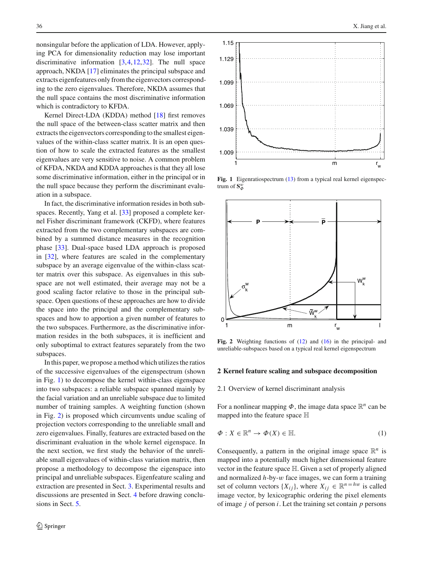nonsingular before the application of LDA. However, applying PCA for dimensionality reduction may lose important discriminative information [\[3](#page-9-1)[,4](#page-9-2),[12](#page-10-9),[32\]](#page-10-10). The null space approach, NKDA [\[17](#page-10-11)] eliminates the principal subspace and extracts eigenfeatures only from the eigenvectors corresponding to the zero eigenvalues. Therefore, NKDA assumes that the null space contains the most discriminative information which is contradictory to KFDA.

Kernel Direct-LDA (KDDA) method [\[18\]](#page-10-12) first removes the null space of the between-class scatter matrix and then extracts the eigenvectors corresponding to the smallest eigenvalues of the within-class scatter matrix. It is an open question of how to scale the extracted features as the smallest eigenvalues are very sensitive to noise. A common problem of KFDA, NKDA and KDDA approaches is that they all lose some discriminative information, either in the principal or in the null space because they perform the discriminant evaluation in a subspace.

In fact, the discriminative information resides in both subspaces. Recently, Yang et al. [\[33](#page-10-13)] proposed a complete kernel Fisher discriminant framework (CKFD), where features extracted from the two complementary subspaces are combined by a summed distance measures in the recognition phase [\[33](#page-10-13)]. Dual-space based LDA approach is proposed in [\[32\]](#page-10-10), where features are scaled in the complementary subspace by an average eigenvalue of the within-class scatter matrix over this subspace. As eigenvalues in this subspace are not well estimated, their average may not be a good scaling factor relative to those in the principal subspace. Open questions of these approaches are how to divide the space into the principal and the complementary subspaces and how to apportion a given number of features to the two subspaces. Furthermore, as the discriminative information resides in the both subspaces, it is inefficient and only suboptimal to extract features separately from the two subspaces.

In this paper, we propose a method which utilizes the ratios of the successive eigenvalues of the eigenspectrum (shown in Fig. [1\)](#page-1-0) to decompose the kernel within-class eigenspace into two subspaces: a reliable subspace spanned mainly by the facial variation and an unreliable subspace due to limited number of training samples. A weighting function (shown in Fig. [2\)](#page-1-1) is proposed which circumvents undue scaling of projection vectors corresponding to the unreliable small and zero eigenvalues. Finally, features are extracted based on the discriminant evaluation in the whole kernel eigenspace. In the next section, we first study the behavior of the unreliable small eigenvalues of within-class variation matrix, then propose a methodology to decompose the eigenspace into principal and unreliable subspaces. Eigenfeature scaling and extraction are presented in Sect. [3.](#page-3-0) Experimental results and discussions are presented in Sect. [4](#page-5-0) before drawing conclusions in Sect. [5.](#page-9-3)



Fig. 1 Eigenratiospectrum [\(13\)](#page-3-1) from a typical real kernel eigenspectrum of **S**<sup>w</sup> Φ

<span id="page-1-0"></span>

<span id="page-1-1"></span>**Fig. 2** Weighting functions of [\(12\)](#page-2-0) and [\(16\)](#page-4-0) in the principal- and unreliable-subspaces based on a typical real kernel eigenspectrum

## **2 Kernel feature scaling and subspace decomposition**

#### 2.1 Overview of kernel discriminant analysis

For a nonlinear mapping  $\Phi$ , the image data space  $\mathbb{R}^n$  can be mapped into the feature space H

$$
\Phi: X \in \mathbb{R}^n \to \Phi(X) \in \mathbb{H}.\tag{1}
$$

Consequently, a pattern in the original image space  $\mathbb{R}^n$  is mapped into a potentially much higher dimensional feature vector in the feature space H. Given a set of properly aligned and normalized *h*-by-w face images, we can form a training set of column vectors  $\{X_{ij}\}\$ , where  $X_{ij} \in \mathbb{R}^{n}$  is called image vector, by lexicographic ordering the pixel elements of image *j* of person *i*. Let the training set contain *p* persons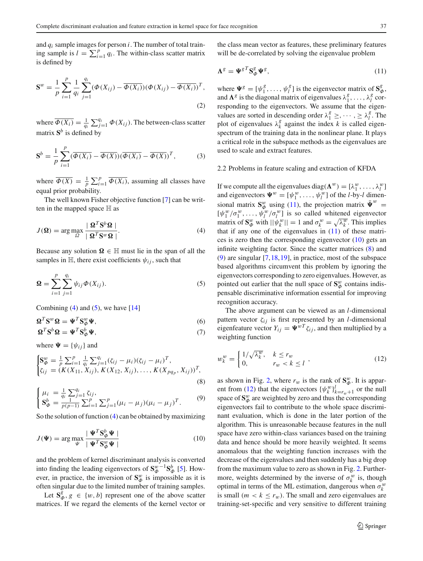and *qi* sample images for person *i*. The number of total training sample is  $l = \sum_{i=1}^{p} q_i$ . The within-class scatter matrix is defined by

$$
\mathbf{S}^{w} = \frac{1}{p} \sum_{i=1}^{p} \frac{1}{q_i} \sum_{j=1}^{q_i} (\Phi(X_{ij}) - \overline{\Phi(X_i)})(\Phi(X_{ij}) - \overline{\Phi(X_i)})^{T},
$$
\n(2)

where  $\overline{\Phi(X_i)} = \frac{1}{q_i} \sum_{j=1}^{q_i} \Phi(X_{ij})$ . The between-class scatter matrix  $S^b$  is defined by

$$
\mathbf{S}^{b} = \frac{1}{p} \sum_{i=1}^{p} (\overline{\Phi(X_i)} - \overline{\Phi(X)}) (\overline{\Phi(X_i)} - \overline{\Phi(X)})^T, \tag{3}
$$

where  $\overline{\Phi(X)} = \frac{1}{p} \sum_{i=1}^{p} \overline{\Phi(X_i)}$ , assuming all classes have equal prior probability.

<span id="page-2-1"></span>The well known Fisher objective function [\[7\]](#page-9-4) can be written in the mapped space  $H$  as

$$
J(\mathbf{\Omega}) = \arg \max_{\Omega} \frac{|\mathbf{\Omega}^T \mathbf{S}^b \mathbf{\Omega}|}{|\mathbf{\Omega}^T \mathbf{S}^w \mathbf{\Omega}|}.
$$
 (4)

<span id="page-2-2"></span>Because any solution  $\Omega \in \mathbb{H}$  must lie in the span of all the samples in H, there exist coefficients  $\psi_{ij}$ , such that

$$
\Omega = \sum_{i=1}^{p} \sum_{j=1}^{q_i} \psi_{ij} \Phi(X_{ij}).
$$
\n(5)

Combining  $(4)$  and  $(5)$ , we have [\[14](#page-10-14)]

$$
\Omega^T S^w \Omega = \Psi^T S^w_{\Phi} \Psi,
$$
  
\n
$$
\Omega^T S^b \Omega = \Psi^T S^b_{\Phi} \Psi,
$$
\n(6)

where  $\Psi = {\psi_{ij}}$  and

<span id="page-2-5"></span>
$$
\begin{cases}\n\mathbf{S}_{\phi}^{w} = \frac{1}{p} \sum_{i=1}^{p} \frac{1}{q_i} \sum_{j=1}^{q_i} (\zeta_{ij} - \mu_i)(\zeta_{ij} - \mu_i)^T, \\
\zeta_{ij} = (K(X_{11}, X_{ij}), K(X_{12}, X_{ij}), \dots, K(X_{pq_p}, X_{ij}))^T,\n\end{cases} \tag{8}
$$

$$
\begin{cases} \mu_i = \frac{1}{q_i} \sum_{j=1}^{q_i} \zeta_{ij}, \\ \mathbf{S}_{\phi}^b = \frac{1}{p(p-1)} \sum_{i=1}^p \sum_{j=1}^p (\mu_i - \mu_j) (\mu_i - \mu_j)^T. \end{cases} \tag{9}
$$

So the solution of function [\(4\)](#page-2-1) can be obtained by maximizing

$$
J(\Psi) = \arg \max_{\Psi} \frac{|\Psi^T \mathbf{S}_{\Phi}^b \Psi|}{|\Psi^T \mathbf{S}_{\Phi}^w \Psi|}
$$
(10)

and the problem of kernel discriminant analysis is converted into finding the leading eigenvectors of  $S_{\phi}^{w-1}S_{\phi}^{b}$  [\[5](#page-9-5)]. However, in practice, the inversion of  $S^w_{\phi}$  is impossible as it is often singular due to the limited number of training samples.

Let  $S_{\Phi}^{g}$ ,  $g \in \{w, b\}$  represent one of the above scatter matrices. If we regard the elements of the kernel vector or <span id="page-2-3"></span>the class mean vector as features, these preliminary features will be de-correlated by solving the eigenvalue problem

$$
\Lambda^g = \Psi^{g}{}^T \mathbf{S}^g_{\phi} \Psi^g,\tag{11}
$$

where  $\Psi^g = [\psi_1^g, \dots, \psi_l^g]$  is the eigenvector matrix of  $S^g_{\phi}$ , and  $\Lambda$ <sup>g</sup> is the diagonal matrix of eigenvalues  $\lambda_1^g$ , ...,  $\lambda_i^g$  corresponding to the eigenvectors. We assume that the eigenvalues are sorted in descending order  $\lambda_1^g \geq, \cdots, \geq \lambda_l^g$ . The plot of eigenvalues  $\lambda_k^g$  against the index *k* is called eigenspectrum of the training data in the nonlinear plane. It plays a critical role in the subspace methods as the eigenvalues are used to scale and extract features.

## 2.2 Problems in feature scaling and extraction of KFDA

If we compute all the eigenvalues diag( $\Lambda^w$ ) =  $[\lambda_1^w, \dots, \lambda_l^w]$ and eigenvectors  $\Psi^w = [\psi_1^w, \dots, \psi_l^w]$  of the *l*-by-*l* dimensional matrix  $S^w_{\phi}$  using [\(11\)](#page-2-3), the projection matrix  $\bar{\Psi}^w$  =  $[\psi_1^w / \sigma_1^w, \ldots, \psi_l^w / \sigma_l^w]$  is so called whitened eigenvector matrix of  $S^w_{\phi}$  with  $||\psi^w_k|| = 1$  and  $\sigma^w_k = \sqrt{\lambda^w_k}$ . This implies that if any one of the eigenvalues in  $(11)$  of these matrices is zero then the corresponding eigenvector [\(10\)](#page-2-4) gets an infinite weighting factor. Since the scatter matrices [\(8\)](#page-2-5) and  $(9)$  are singular [\[7](#page-9-4),[18,](#page-10-12)[19\]](#page-10-15), in practice, most of the subspace based algorithms circumvent this problem by ignoring the eigenvectors corresponding to zero eigenvalues. However, as pointed out earlier that the null space of  $S^w_\phi$  contains indispensable discriminative information essential for improving recognition accuracy.

The above argument can be viewed as an *l*-dimensional pattern vector  $\zeta_{ij}$  is first represented by an *l*-dimensional eigenfeature vector  $Y_{ij} = \Psi^{wT} \zeta_{ij}$ , and then multiplied by a weighting function

<span id="page-2-0"></span>
$$
w_k^w = \begin{cases} 1/\sqrt{\lambda_k^w}, & k \le r_w \\ 0, & r_w < k \le l \end{cases},
$$
 (12)

<span id="page-2-4"></span>as shown in Fig. [2,](#page-1-1) where  $r_w$  is the rank of  $S^w_{\phi}$ . It is appar-ent from [\(12\)](#page-2-0) that the eigenvectors  $\{\psi_k^w\}_{k=r_w+1}^l$  or the null space of  $S^w_\phi$  are weighted by zero and thus the corresponding eigenvectors fail to contribute to the whole space discriminant evaluation, which is done in the later portion of the algorithm. This is unreasonable because features in the null space have zero within-class variances based on the training data and hence should be more heavily weighted. It seems anomalous that the weighting function increases with the decrease of the eigenvalues and then suddenly has a big drop from the maximum value to zero as shown in Fig. [2.](#page-1-1) Furthermore, weights determined by the inverse of  $\sigma_k^w$  is, though optimal in terms of the ML estimation, dangerous when  $\sigma_k^w$ is small  $(m < k \leq r_w)$ . The small and zero eigenvalues are training-set-specific and very sensitive to different training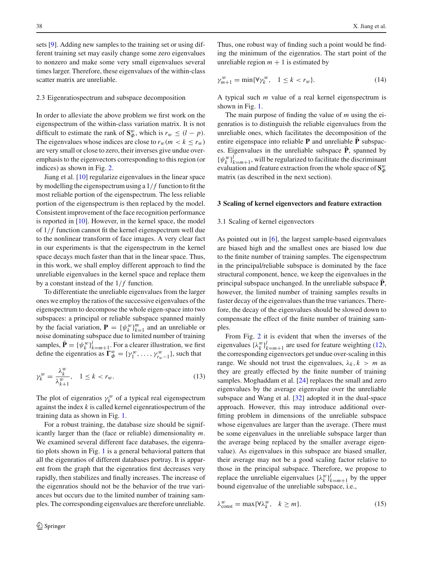sets [\[9\]](#page-9-6). Adding new samples to the training set or using different training set may easily change some zero eigenvalues to nonzero and make some very small eigenvalues several times larger. Therefore, these eigenvalues of the within-class scatter matrix are unreliable.

#### 2.3 Eigenratiospectrum and subspace decomposition

In order to alleviate the above problem we first work on the eigenspectrum of the within-class variation matrix. It is not difficult to estimate the rank of  $S_{\phi}^{w}$ , which is  $r_{w} \leq (l - p)$ . The eigenvalues whose indices are close to  $r_w(m < k \leq r_w)$ are very small or close to zero, their inverses give undue overemphasis to the eigenvectors corresponding to this region (or indices) as shown in Fig. [2.](#page-1-1)

Jiang et al. [\[10\]](#page-9-7) regularize eigenvalues in the linear space by modelling the eigenspectrum using a 1/ *f* function to fit the most reliable portion of the eigenspectrum. The less reliable portion of the eigenspectrum is then replaced by the model. Consistent improvement of the face recognition performance is reported in [\[10](#page-9-7)]. However, in the kernel space, the model of  $1/f$  function cannot fit the kernel eigenspectrum well due to the nonlinear transform of face images. A very clear fact in our experiments is that the eigenspectrum in the kernel space decays much faster than that in the linear space. Thus, in this work, we shall employ different approach to find the unreliable eigenvalues in the kernel space and replace them by a constant instead of the  $1/f$  function.

To differentiate the unreliable eigenvalues from the larger ones we employ the ratios of the successive eigenvalues of the eigenspectrum to decompose the whole eigen-space into two subspaces: a principal or reliable subspace spanned mainly by the facial variation,  $\mathbf{P} = {\psi_k^w}_{k=1}^m$  and an unreliable or noise dominating subspace due to limited number of training samples,  $\bar{\mathbf{P}} = {\psi_k^w}_{k=m+1}^l$ . For a clearer illustration, we first define the eigenratios as  $\Gamma_{\phi}^{w} = {\gamma_1^{w}, \dots, \gamma_{r_w-1}^{w}}$ , such that

$$
\gamma_k^w = \frac{\lambda_k^w}{\lambda_{k+1}^w}, \quad 1 \le k < r_w. \tag{13}
$$

The plot of eigenratios  $\gamma_k^w$  of a typical real eigenspectrum against the index *k* is called kernel eigenratiospectrum of the training data as shown in Fig. [1.](#page-1-0)

For a robust training, the database size should be significantly larger than the (face or reliable) dimensionality *m*. We examined several different face databases, the eigenratio plots shown in Fig. [1](#page-1-0) is a general behavioral pattern that all the eigenratios of different databases portray. It is apparent from the graph that the eigenratios first decreases very rapidly, then stabilizes and finally increases. The increase of the eigenratios should not be the behavior of the true variances but occurs due to the limited number of training samples. The corresponding eigenvalues are therefore unreliable.

Thus, one robust way of finding such a point would be finding the minimum of the eigenratios. The start point of the unreliable region  $m + 1$  is estimated by

<span id="page-3-2"></span>
$$
\gamma_{m+1}^w = \min\{\forall \gamma_k^w, \quad 1 \le k < r_w\}. \tag{14}
$$

A typical such *m* value of a real kernel eigenspectrum is shown in Fig. [1.](#page-1-0)

The main purpose of finding the value of *m* using the eigenratios is to distinguish the reliable eigenvalues from the unreliable ones, which facilitates the decomposition of the entire eigenspace into reliable  $P$  and unreliable  $P$  subspaces. Eigenvalues in the unreliable subspace  $\bar{P}$ , spanned by  ${\psi_k^w}_{k=m+1}^l$ , will be regularized to facilitate the discriminant evaluation and feature extraction from the whole space of **S**<sup>w</sup> Φ matrix (as described in the next section).

### <span id="page-3-0"></span>**3 Scaling of kernel eigenvectors and feature extraction**

#### 3.1 Scaling of kernel eigenvectors

As pointed out in [\[6](#page-9-8)], the largest sample-based eigenvalues are biased high and the smallest ones are biased low due to the finite number of training samples. The eigenspectrum in the principal/reliable subspace is dominated by the face structural component, hence, we keep the eigenvalues in the principal subspace unchanged. In the unreliable subspace  $\overline{P}$ , however, the limited number of training samples results in faster decay of the eigenvalues than the true variances. Therefore, the decay of the eigenvalues should be slowed down to compensate the effect of the finite number of training samples.

<span id="page-3-1"></span>From Fig. [2](#page-1-1) it is evident that when the inverses of the eigenvalues  $\{\lambda_k^w\}_{k=m+1}^l$  are used for feature weighting [\(12\)](#page-2-0), the corresponding eigenvectors get undue over-scaling in this range. We should not trust the eigenvalues,  $\lambda_k$ ,  $k > m$  as they are greatly effected by the finite number of training samples. Moghaddam et al. [\[24\]](#page-10-16) replaces the small and zero eigenvalues by the average eigenvalue over the unreliable subspace and Wang et al. [\[32](#page-10-10)] adopted it in the dual-space approach. However, this may introduce additional overfitting problem in dimensions of the unreliable subspace whose eigenvalues are larger than the average. (There must be some eigenvalues in the unreliable subspace larger than the average being replaced by the smaller average eigenvalue). As eigenvalues in this subspace are biased smaller, their average may not be a good scaling factor relative to those in the principal subspace. Therefore, we propose to replace the unreliable eigenvalues  $\{\lambda_k^w\}_{k=m+1}^l$  by the upper bound eigenvalue of the unreliable subspace, i.e.,

<span id="page-3-3"></span>
$$
\lambda_{\text{const}}^w = \max\{\forall \lambda_k^w, \quad k \ge m\}. \tag{15}
$$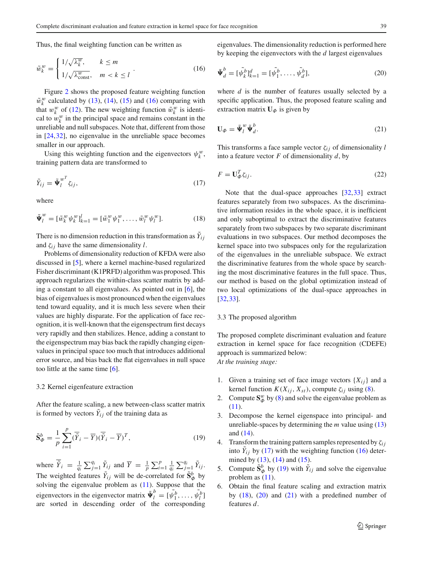Thus, the final weighting function can be written as

$$
\tilde{w}_k^w = \begin{cases}\n1/\sqrt{\lambda_k^w}, & k \le m \\
1/\sqrt{\lambda_{\text{const}}^w}, & m < k \le l\n\end{cases} .
$$
\n(16)

Figure [2](#page-1-1) shows the proposed feature weighting function  $\tilde{w}_k^w$  calculated by [\(13\)](#page-3-1), [\(14\)](#page-3-2), [\(15\)](#page-3-3) and [\(16\)](#page-4-0) comparing with that  $w_k^w$  of [\(12\)](#page-2-0). The new weighting function  $\tilde{w}_k^w$  is identical to  $w_k^w$  in the principal space and remains constant in the unreliable and null subspaces. Note that, different from those in [\[24,](#page-10-16)[32\]](#page-10-10), no eigenvalue in the unreliable space becomes smaller in our approach.

<span id="page-4-1"></span>Using this weighting function and the eigenvectors  $\psi_k^w$ , training pattern data are transformed to

$$
\tilde{Y}_{ij} = \tilde{\Psi}_l^{w^T} \zeta_{ij},\tag{17}
$$

<span id="page-4-3"></span>where

$$
\tilde{\Psi}_l^w = [\tilde{w}_k^w \psi_k^w]_{k=1}^l = [\tilde{w}_1^w \psi_1^w, \dots, \tilde{w}_l^w \psi_l^w].
$$
\n(18)

There is no dimension reduction in this transformation as  $\tilde{Y}_{ij}$ and  $\zeta_{ij}$  have the same dimensionality *l*.

Problems of dimensionality reduction of KFDA were also discussed in [\[5](#page-9-5)], where a kernel machine-based regularized Fisher discriminant (K1PRFD) algorithm was proposed. This approach regularizes the within-class scatter matrix by adding a constant to all eigenvalues. As pointed out in  $[6]$  $[6]$ , the bias of eigenvalues is most pronounced when the eigenvalues tend toward equality, and it is much less severe when their values are highly disparate. For the application of face recognition, it is well-known that the eigenspectrum first decays very rapidly and then stabilizes. Hence, adding a constant to the eigenspectrum may bias back the rapidly changing eigenvalues in principal space too much that introduces additional error source, and bias back the flat eigenvalues in null space too little at the same time [\[6\]](#page-9-8).

## 3.2 Kernel eigenfeature extraction

<span id="page-4-2"></span>After the feature scaling, a new between-class scatter matrix is formed by vectors  $\tilde{Y}_{ij}$  of the training data as

$$
\tilde{\mathbf{S}}_{\boldsymbol{\phi}}^{b} = \frac{1}{p} \sum_{i=1}^{p} (\overline{\tilde{Y}}_i - \overline{Y})(\overline{\tilde{Y}}_i - \overline{Y})^T, \qquad (19)
$$

where  $\overline{\tilde{Y}}_i = \frac{1}{q_i} \sum_{j=1}^{q_i} \tilde{Y}_{ij}$  and  $\overline{Y} = \frac{1}{p} \sum_{i=1}^{p} \frac{1}{q_i} \sum_{j=1}^{q_i} \tilde{Y}_{ij}$ . The weighted features  $\tilde{Y}_{ij}$  will be de-correlated for  $\tilde{\mathbf{S}}_{\phi}^{b}$  by solving the eigenvalue problem as [\(11\)](#page-2-3). Suppose that the eigenvectors in the eigenvector matrix  $\tilde{\Psi}_l^b = [\tilde{\psi}_1^b, \dots, \tilde{\psi}_l^b]$ are sorted in descending order of the corresponding <span id="page-4-4"></span><span id="page-4-0"></span>eigenvalues. The dimensionality reduction is performed here by keeping the eigenvectors with the *d* largest eigenvalues

$$
\tilde{\Psi}_d^b = [\tilde{\psi}_k^b]_{k=1}^d = [\tilde{\psi}_1^b, \dots, \tilde{\psi}_d^b],\tag{20}
$$

where *d* is the number of features usually selected by a specific application. Thus, the proposed feature scaling and extraction matrix  $U_{\phi}$  is given by

<span id="page-4-5"></span>
$$
\mathbf{U}_{\phi} = \tilde{\mathbf{\Psi}}_l^w \tilde{\mathbf{\Psi}}_d^b. \tag{21}
$$

<span id="page-4-6"></span>This transforms a face sample vector  $\zeta_{ij}$  of dimensionality *l* into a feature vector *F* of dimensionality *d*, by

$$
F = \mathbf{U}_{\phi}^T \zeta_{ij}.
$$
 (22)

Note that the dual-space approaches [\[32,](#page-10-10)[33\]](#page-10-13) extract features separately from two subspaces. As the discriminative information resides in the whole space, it is inefficient and only suboptimal to extract the discriminative features separately from two subspaces by two separate discriminant evaluations in two subspaces. Our method decomposes the kernel space into two subspaces only for the regularization of the eigenvalues in the unreliable subspace. We extract the discriminative features from the whole space by searching the most discriminative features in the full space. Thus, our method is based on the global optimization instead of two local optimizations of the dual-space approaches in [\[32](#page-10-10),[33\]](#page-10-13).

#### 3.3 The proposed algorithm

The proposed complete discriminant evaluation and feature extraction in kernel space for face recognition (CDEFE) approach is summarized below: *At the training stage:*

- 
- 1. Given a training set of face image vectors  ${X_{ii}}$  and a kernel function  $K(X_{ij}, X_{st})$ , compute  $\zeta_{ij}$  using [\(8\)](#page-2-5).
- 2. Compute  $S^w_{\phi}$  by [\(8\)](#page-2-5) and solve the eigenvalue problem as [\(11\)](#page-2-3).
- 3. Decompose the kernel eigenspace into principal- and unreliable-spaces by determining the *m* value using [\(13\)](#page-3-1) and [\(14\)](#page-3-2).
- 4. Transform the training pattern samples represented by ζ*i j* into  $\tilde{Y}_{ij}$  by [\(17\)](#page-4-1) with the weighting function [\(16\)](#page-4-0) deter-mined by [\(13\)](#page-3-1), [\(14\)](#page-3-2) and [\(15\)](#page-3-3).
- 5. Compute  $\tilde{\mathbf{S}}_{\phi}^{b}$  by [\(19\)](#page-4-2) with  $\tilde{Y}_{ij}$  and solve the eigenvalue problem as  $(11)$ .
- 6. Obtain the final feature scaling and extraction matrix by  $(18)$ ,  $(20)$  and  $(21)$  with a predefined number of features *d*.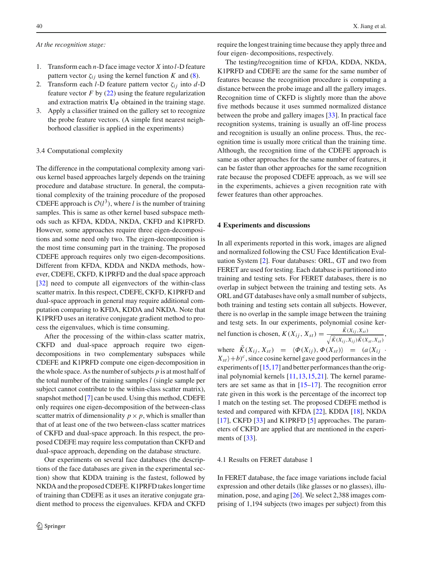*At the recognition stage:*

- 1. Transform each *n*-D face image vector *X* into *l*-D feature pattern vector  $\zeta_{ij}$  using the kernel function *K* and [\(8\)](#page-2-5).
- 2. Transform each *l*-D feature pattern vector ζ*i j* into *d*-D feature vector  $F$  by  $(22)$  using the feature regularization and extraction matrix  $U_{\phi}$  obtained in the training stage.
- 3. Apply a classifier trained on the gallery set to recognize the probe feature vectors. (A simple first nearest neighborhood classifier is applied in the experiments)

#### 3.4 Computational complexity

The difference in the computational complexity among various kernel based approaches largely depends on the training procedure and database structure. In general, the computational complexity of the training procedure of the proposed CDEFE approach is  $O(l^3)$ , where *l* is the number of training samples. This is same as other kernel based subspace methods such as KFDA, KDDA, NKDA, CKFD and K1PRFD. However, some approaches require three eigen-decompositions and some need only two. The eigen-decomposition is the most time consuming part in the training. The proposed CDEFE approach requires only two eigen-decompositions. Different from KFDA, KDDA and NKDA methods, however, CDEFE, CKFD, K1PRFD and the dual space approach [\[32](#page-10-10)] need to compute all eigenvectors of the within-class scatter matrix. In this respect, CDEFE, CKFD, K1PRFD and dual-space approach in general may require additional computation comparing to KFDA, KDDA and NKDA. Note that K1PRFD uses an iterative conjugate gradient method to process the eigenvalues, which is time consuming.

After the processing of the within-class scatter matrix, CKFD and dual-space approach require two eigendecompositions in two complementary subspaces while CDEFE and K1PRFD compute one eigen-decomposition in the whole space. As the number of subjects *p* is at most half of the total number of the training samples *l* (single sample per subject cannot contribute to the within-class scatter matrix), snapshot method [\[7\]](#page-9-4) can be used. Using this method, CDEFE only requires one eigen-decomposition of the between-class scatter matrix of dimensionality  $p \times p$ , which is smaller than that of at least one of the two between-class scatter matrices of CKFD and dual-space approach. In this respect, the proposed CDEFE may require less computation than CKFD and dual-space approach, depending on the database structure.

Our experiments on several face databases (the descriptions of the face databases are given in the experimental section) show that KDDA training is the fastest, followed by NKDA and the proposed CDEFE. K1PRFD takes longer time of training than CDEFE as it uses an iterative conjugate gradient method to process the eigenvalues. KFDA and CKFD require the longest training time because they apply three and four eigen- decompositions, respectively.

The testing/recognition time of KFDA, KDDA, NKDA, K1PRFD and CDEFE are the same for the same number of features because the recognition procedure is computing a distance between the probe image and all the gallery images. Recognition time of CKFD is slightly more than the above five methods because it uses summed normalized distance between the probe and gallery images [\[33](#page-10-13)]. In practical face recognition systems, training is usually an off-line process and recognition is usually an online process. Thus, the recognition time is usually more critical than the training time. Although, the recognition time of the CDEFE approach is same as other approaches for the same number of features, it can be faster than other approaches for the same recognition rate because the proposed CDEFE approach, as we will see in the experiments, achieves a given recognition rate with fewer features than other approaches.

#### <span id="page-5-0"></span>**4 Experiments and discussions**

In all experiments reported in this work, images are aligned and normalized following the CSU Face Identification Evaluation System [\[2](#page-9-9)]. Four databases: ORL, GT and two from FERET are used for testing. Each database is partitioned into training and testing sets. For FERET databases, there is no overlap in subject between the training and testing sets. As ORL and GT databases have only a small number of subjects, both training and testing sets contain all subjects. However, there is no overlap in the sample image between the training and testg sets. In our experiments, polynomial cosine kernel function is chosen,  $K(X_{ij}, X_{st}) = \frac{\tilde{K}(X_{ij}, X_{st})}{\sqrt{\tilde{K}(X_{ij}, X_{ij})\tilde{K}(X_{st}, X_{st})}}$ where  $\overline{K}(X_{ij}, X_{st}) = \langle \Phi(X_{ij}), \Phi(X_{st}) \rangle = (a \langle X_{ij} \rangle)$  $X_{st}$  + *b*)<sup>*c*</sup>, since cosine kernel gave good performances in the experiments of [\[15](#page-10-17)[,17](#page-10-11)] and better performances than the original polynomial kernels [\[11](#page-9-10)[,13](#page-10-18),[15,](#page-10-17)[21\]](#page-10-19). The kernel parameters are set same as that in [\[15](#page-10-17)[–17\]](#page-10-11). The recognition error rate given in this work is the percentage of the incorrect top 1 match on the testing set. The proposed CDEFE method is tested and compared with KFDA [\[22](#page-10-4)], KDDA [\[18](#page-10-12)], NKDA [\[17](#page-10-11)], CKFD [\[33\]](#page-10-13) and K1PRFD [\[5\]](#page-9-5) approaches. The parameters of CKFD are applied that are mentioned in the experiments of [\[33\]](#page-10-13).

## 4.1 Results on FERET database 1

In FERET database, the face image variations include facial expression and other details (like glasses or no glasses), illumination, pose, and aging [\[26](#page-10-20)]. We select 2,388 images comprising of 1,194 subjects (two images per subject) from this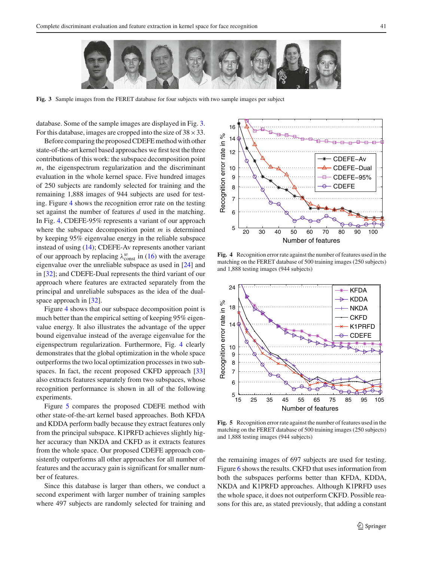<span id="page-6-0"></span>**Fig. 3** Sample images from the FERET database for four subjects with two sample images per subject

database. Some of the sample images are displayed in Fig. [3.](#page-6-0) For this database, images are cropped into the size of  $38 \times 33$ .

Before comparing the proposed CDEFE method with other state-of-the-art kernel based approaches we first test the three contributions of this work: the subspace decomposition point *m*, the eigenspectrum regularization and the discriminant evaluation in the whole kernel space. Five hundred images of 250 subjects are randomly selected for training and the remaining 1,888 images of 944 subjects are used for testing. Figure [4](#page-6-1) shows the recognition error rate on the testing set against the number of features *d* used in the matching. In Fig. [4,](#page-6-1) CDEFE-95% represents a variant of our approach where the subspace decomposition point *m* is determined by keeping 95% eigenvalue energy in the reliable subspace instead of using [\(14\)](#page-3-2); CDEFE-Av represents another variant of our approach by replacing  $\lambda_{\text{const}}^w$  in [\(16\)](#page-4-0) with the average eigenvalue over the unreliable subspace as used in [\[24\]](#page-10-16) and in [\[32\]](#page-10-10); and CDEFE-Dual represents the third variant of our approach where features are extracted separately from the principal and unreliable subspaces as the idea of the dual-space approach in [\[32](#page-10-10)].

Figure [4](#page-6-1) shows that our subspace decomposition point is much better than the empirical setting of keeping 95% eigenvalue energy. It also illustrates the advantage of the upper bound eigenvalue instead of the average eigenvalue for the eigenspectrum regularization. Furthermore, Fig. [4](#page-6-1) clearly demonstrates that the global optimization in the whole space outperforms the two local optimization processes in two subspaces. In fact, the recent proposed CKFD approach [\[33\]](#page-10-13) also extracts features separately from two subspaces, whose recognition performance is shown in all of the following experiments.

Figure [5](#page-6-2) compares the proposed CDEFE method with other state-of-the-art kernel based approaches. Both KFDA and KDDA perform badly because they extract features only from the principal subspace. K1PRFD achieves slightly higher accuracy than NKDA and CKFD as it extracts features from the whole space. Our proposed CDEFE approach consistently outperforms all other approaches for all number of features and the accuracy gain is significant for smaller number of features.

Since this database is larger than others, we conduct a second experiment with larger number of training samples where 497 subjects are randomly selected for training and



**Fig. 4** Recognition error rate against the number of features used in the matching on the FERET database of 500 training images (250 subjects) and 1,888 testing images (944 subjects)

<span id="page-6-1"></span>

<span id="page-6-2"></span>**Fig. 5** Recognition error rate against the number of features used in the matching on the FERET database of 500 training images (250 subjects) and 1,888 testing images (944 subjects)

the remaining images of 697 subjects are used for testing. Figure [6](#page-7-0) shows the results. CKFD that uses information from both the subspaces performs better than KFDA, KDDA, NKDA and K1PRFD approaches. Although K1PRFD uses the whole space, it does not outperform CKFD. Possible reasons for this are, as stated previously, that adding a constant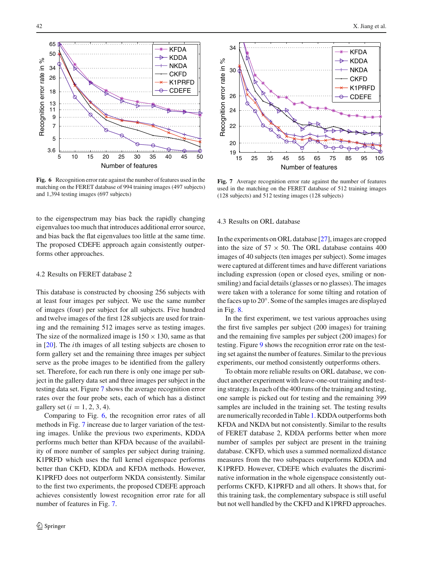

<span id="page-7-0"></span>**Fig. 6** Recognition error rate against the number of features used in the matching on the FERET database of 994 training images (497 subjects) and 1,394 testing images (697 subjects)

to the eigenspectrum may bias back the rapidly changing eigenvalues too much that introduces additional error source, and bias back the flat eigenvalues too little at the same time. The proposed CDEFE approach again consistently outperforms other approaches.

## 4.2 Results on FERET database 2

This database is constructed by choosing 256 subjects with at least four images per subject. We use the same number of images (four) per subject for all subjects. Five hundred and twelve images of the first 128 subjects are used for training and the remaining 512 images serve as testing images. The size of the normalized image is  $150 \times 130$ , same as that in [\[20\]](#page-10-21). The *i*th images of all testing subjects are chosen to form gallery set and the remaining three images per subject serve as the probe images to be identified from the gallery set. Therefore, for each run there is only one image per subject in the gallery data set and three images per subject in the testing data set. Figure [7](#page-7-1) shows the average recognition error rates over the four probe sets, each of which has a distinct gallery set  $(i = 1, 2, 3, 4)$ .

Comparing to Fig. [6,](#page-7-0) the recognition error rates of all methods in Fig. [7](#page-7-1) increase due to larger variation of the testing images. Unlike the previous two experiments, KDDA performs much better than KFDA because of the availability of more number of samples per subject during training. K1PRFD which uses the full kernel eigenspace performs better than CKFD, KDDA and KFDA methods. However, K1PRFD does not outperform NKDA consistently. Similar to the first two experiments, the proposed CDEFE approach achieves consistently lowest recognition error rate for all number of features in Fig. [7.](#page-7-1)



<span id="page-7-1"></span>**Fig. 7** Average recognition error rate against the number of features used in the matching on the FERET database of 512 training images (128 subjects) and 512 testing images (128 subjects)

## 4.3 Results on ORL database

In the experiments on ORL database [\[27](#page-10-22)], images are cropped into the size of  $57 \times 50$ . The ORL database contains 400 images of 40 subjects (ten images per subject). Some images were captured at different times and have different variations including expression (open or closed eyes, smiling or nonsmiling) and facial details (glasses or no glasses). The images were taken with a tolerance for some tilting and rotation of the faces up to 20◦. Some of the samples images are displayed in Fig. [8.](#page-8-0)

In the first experiment, we test various approaches using the first five samples per subject (200 images) for training and the remaining five samples per subject (200 images) for testing. Figure [9](#page-8-1) shows the recognition error rate on the testing set against the number of features. Similar to the previous experiments, our method consistently outperforms others.

To obtain more reliable results on ORL database, we conduct another experiment with leave-one-out training and testing strategy. In each of the 400 runs of the training and testing, one sample is picked out for testing and the remaining 399 samples are included in the training set. The testing results are numerically recorded in Table [1.](#page-8-2) KDDA outperforms both KFDA and NKDA but not consistently. Similar to the results of FERET database 2, KDDA performs better when more number of samples per subject are present in the training database. CKFD, which uses a summed normalized distance measures from the two subspaces outperforms KDDA and K1PRFD. However, CDEFE which evaluates the discriminative information in the whole eigenspace consistently outperforms CKFD, K1PRFD and all others. It shows that, for this training task, the complementary subspace is still useful but not well handled by the CKFD and K1PRFD approaches.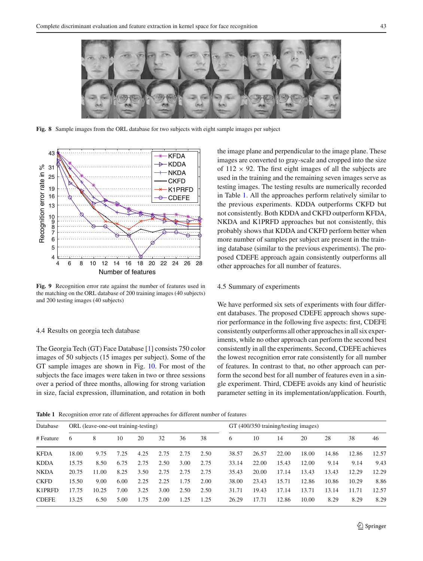

**Fig. 8** Sample images from the ORL database for two subjects with eight sample images per subject

<span id="page-8-0"></span>

<span id="page-8-1"></span>**Fig. 9** Recognition error rate against the number of features used in the matching on the ORL database of 200 training images (40 subjects) and 200 testing images (40 subjects)

#### 4.4 Results on georgia tech database

The Georgia Tech (GT) Face Database [\[1\]](#page-9-11) consists 750 color images of 50 subjects (15 images per subject). Some of the GT sample images are shown in Fig. [10.](#page-9-12) For most of the subjects the face images were taken in two or three sessions over a period of three months, allowing for strong variation in size, facial expression, illumination, and rotation in both the image plane and perpendicular to the image plane. These images are converted to gray-scale and cropped into the size of  $112 \times 92$ . The first eight images of all the subjects are used in the training and the remaining seven images serve as testing images. The testing results are numerically recorded in Table [1.](#page-8-2) All the approaches perform relatively similar to the previous experiments. KDDA outperforms CKFD but not consistently. Both KDDA and CKFD outperform KFDA, NKDA and K1PRFD approaches but not consistently, this probably shows that KDDA and CKFD perform better when more number of samples per subject are present in the training database (similar to the previous experiments). The proposed CDEFE approach again consistently outperforms all other approaches for all number of features.

#### 4.5 Summary of experiments

We have performed six sets of experiments with four different databases. The proposed CDEFE approach shows superior performance in the following five aspects: first, CDEFE consistently outperforms all other approaches in all six experiments, while no other approach can perform the second best consistently in all the experiments. Second, CDEFE achieves the lowest recognition error rate consistently for all number of features. In contrast to that, no other approach can perform the second best for all number of features even in a single experiment. Third, CDEFE avoids any kind of heuristic parameter setting in its implementation/application. Fourth,

**Table 1** Recognition error rate of different approaches for different number of features

<span id="page-8-2"></span>

| Database<br># Feature | ORL (leave-one-out training-testing) |       |      |      |      |      |      | GT (400/350 training/testing images) |       |       |       |       |       |       |
|-----------------------|--------------------------------------|-------|------|------|------|------|------|--------------------------------------|-------|-------|-------|-------|-------|-------|
|                       | 6                                    | 8     | 10   | 20   | 32   | 36   | 38   | 6                                    | 10    | 14    | 20    | 28    | 38    | 46    |
| <b>KFDA</b>           | 18.00                                | 9.75  | 7.25 | 4.25 | 2.75 | 2.75 | 2.50 | 38.57                                | 26.57 | 22.00 | 18.00 | 14.86 | 12.86 | 12.57 |
| <b>KDDA</b>           | 15.75                                | 8.50  | 6.75 | 2.75 | 2.50 | 3.00 | 2.75 | 33.14                                | 22.00 | 15.43 | 12.00 | 9.14  | 9.14  | 9.43  |
| <b>NKDA</b>           | 20.75                                | 11.00 | 8.25 | 3.50 | 2.75 | 2.75 | 2.75 | 35.43                                | 20.00 | 17.14 | 13.43 | 13.43 | 12.29 | 12.29 |
| <b>CKFD</b>           | 15.50                                | 9.00  | 6.00 | 2.25 | 2.25 | 1.75 | 2.00 | 38.00                                | 23.43 | 15.71 | 12.86 | 10.86 | 10.29 | 8.86  |
| <b>K1PRFD</b>         | 17.75                                | 10.25 | 7.00 | 3.25 | 3.00 | 2.50 | 2.50 | 31.71                                | 19.43 | 17.14 | 13.71 | 13.14 | 11.71 | 12.57 |
| <b>CDEFE</b>          | 13.25                                | 6.50  | 5.00 | 1.75 | 2.00 | 1.25 | 1.25 | 26.29                                | 17.71 | 12.86 | 10.00 | 8.29  | 8.29  | 8.29  |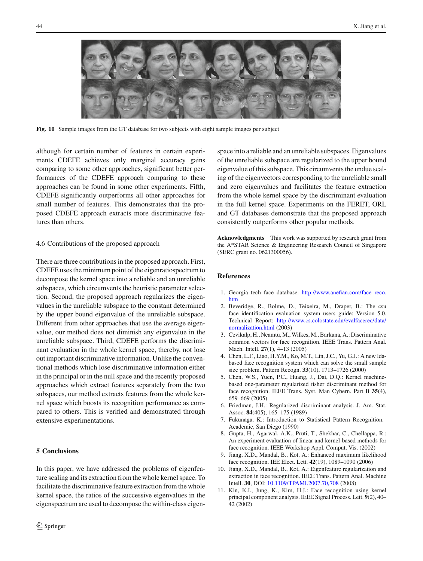

**Fig. 10** Sample images from the GT database for two subjects with eight sample images per subject

<span id="page-9-12"></span>although for certain number of features in certain experiments CDEFE achieves only marginal accuracy gains comparing to some other approaches, significant better performances of the CDEFE approach comparing to these approaches can be found in some other experiments. Fifth, CDEFE significantly outperforms all other approaches for small number of features. This demonstrates that the proposed CDEFE approach extracts more discriminative features than others.

# 4.6 Contributions of the proposed approach

There are three contributions in the proposed approach. First, CDEFE uses the minimum point of the eigenratiospectrum to decompose the kernel space into a reliable and an unreliable subspaces, which circumvents the heuristic parameter selection. Second, the proposed approach regularizes the eigenvalues in the unreliable subspace to the constant determined by the upper bound eigenvalue of the unreliable subspace. Different from other approaches that use the average eigenvalue, our method does not diminish any eigenvalue in the unreliable subspace. Third, CDEFE performs the discriminant evaluation in the whole kernel space, thereby, not lose out important discriminative information. Unlike the conventional methods which lose discriminative information either in the principal or in the null space and the recently proposed approaches which extract features separately from the two subspaces, our method extracts features from the whole kernel space which boosts its recognition performance as compared to others. This is verified and demonstrated through extensive experimentations.

## <span id="page-9-3"></span>**5 Conclusions**

In this paper, we have addressed the problems of eigenfeature scaling and its extraction from the whole kernel space. To facilitate the discriminative feature extraction from the whole kernel space, the ratios of the successive eigenvalues in the eigenspectrum are used to decompose the within-class eigenspace into a reliable and an unreliable subspaces. Eigenvalues of the unreliable subspace are regularized to the upper bound eigenvalue of this subspace. This circumvents the undue scaling of the eigenvectors corresponding to the unreliable small and zero eigenvalues and facilitates the feature extraction from the whole kernel space by the discriminant evaluation in the full kernel space. Experiments on the FERET, ORL and GT databases demonstrate that the proposed approach consistently outperforms other popular methods.

**Acknowledgments** This work was supported by research grant from the A\*STAR Science & Engineering Research Council of Singapore (SERC grant no. 0621300056).

## <span id="page-9-11"></span>**References**

- 1. Georgia tech face database. [http://www.anefian.com/face\\_reco.](http://www.anefian.com/face_reco.htm) [htm](http://www.anefian.com/face_reco.htm)
- <span id="page-9-9"></span>2. Beveridge, R., Bolme, D., Teixeira, M., Draper, B.: The csu face identification evaluation system users guide: Version 5.0. Technical Report: [http://www.cs.colostate.edu/evalfacerec/data/](http://www.cs.colostate.edu/evalfacerec/data/normalization.html) [normalization.html](http://www.cs.colostate.edu/evalfacerec/data/normalization.html) (2003)
- <span id="page-9-1"></span>3. Cevikalp, H., Neamtu, M.,Wilkes, M., Barkana, A.: Discriminative common vectors for face recognition. IEEE Trans. Pattern Anal. Mach. Intell. **27**(1), 4–13 (2005)
- <span id="page-9-2"></span>4. Chen, L.F., Liao, H.Y.M., Ko, M.T., Lin, J.C., Yu, G.J.: A new ldabased face recognition system which can solve the small sample size problem. Pattern Recogn. **33**(10), 1713–1726 (2000)
- <span id="page-9-5"></span>5. Chen, W.S., Yuen, P.C., Huang, J., Dai, D.Q.: Kernel machinebased one-parameter regularized fisher discriminant method for face recognition. IEEE Trans. Syst. Man Cybern. Part B **35**(4), 659–669 (2005)
- <span id="page-9-8"></span>6. Friedman, J.H.: Regularized discriminant analysis. J. Am. Stat. Assoc. **84**(405), 165–175 (1989)
- <span id="page-9-4"></span>7. Fukunaga, K.: Introduction to Statistical Pattern Recognition. Academic, San Diego (1990)
- <span id="page-9-0"></span>8. Gupta, H., Agarwal, A.K., Pruti, T., Shekhar, C., Chellappa, R.: An experiment evaluation of linear and kernel-based methods for face recognition. IEEE Workshop Appl. Comput. Vis. (2002)
- <span id="page-9-6"></span>9. Jiang, X.D., Mandal, B., Kot, A.: Enhanced maximum likelihood face recognition. IEE Elect. Lett. **42**(19), 1089–1090 (2006)
- <span id="page-9-7"></span>10. Jiang, X.D., Mandal, B., Kot, A.: Eigenfeature regularization and extraction in face recognition. IEEE Trans. Pattern Anal. Machine Intell. **30**, DOI: [10.1109/TPAMI.2007.70,708](http://dx.doi.org/10.1109/TPAMI.2007.70,708) (2008)
- <span id="page-9-10"></span>11. Kin, K.I., Jung, K., Kim, H.J.: Face recognition using kernel principal component analysis. IEEE Signal Process. Lett. **9**(2), 40– 42 (2002)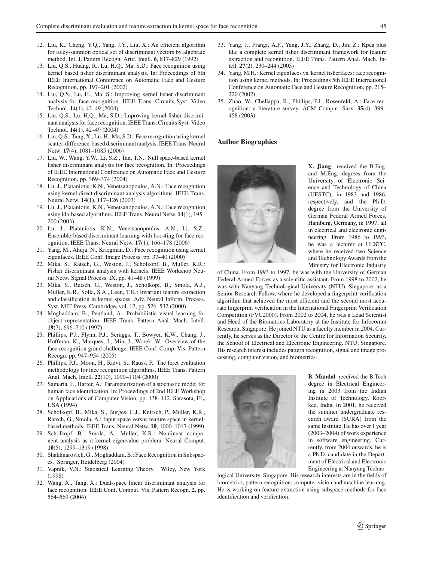- <span id="page-10-9"></span>12. Liu, K., Cheng, Y.Q., Yang, J.Y., Liu, X.: An efficient algorithm for foley-sammon optical set of discriminant vectors by algebraic method. Int. J. Pattern Recogn. Artif. Intell. **6**, 817–829 (1992)
- <span id="page-10-18"></span>13. Liu, Q.S., Huang, R., Lu, H.Q., Ma, S.D.: Face recognition using kernel based fisher discriminant analysis. In: Proceedings of 5th IEEE International Conference on Automatic Face and Gesture Recognition, pp. 197–201 (2002)
- <span id="page-10-14"></span>14. Liu, Q.S., Lu, H., Ma, S.: Improving kernel fisher discriminant analysis for face recognition. IEEE Trans. Circuits Syst. Video Technol. **14**(1), 42–49 (2004)
- <span id="page-10-17"></span>15. Liu, Q.S., Lu, H.Q., Ma, S.D.: Improving kernel fisher discriminant analysis for face recognition. IEEE Trans. Circuits Syst. Video Technol. **14**(1), 42–49 (2004)
- 16. Liu, Q.S., Tang, X., Lu, H., Ma, S.D.: Face recognition using kernel scatter-difference-based discriminant analysis. IEEE Trans. Neural Netw. **17**(4), 1081–1085 (2006)
- <span id="page-10-11"></span>17. Liu, W., Wang, Y.W., Li, S.Z., Tan, T.N.: Null space-based kernel fisher discriminant analysis for face recognition. In: Proceedings of IEEE International Conference on Automatic Face and Gesture Recognition, pp. 369–374 (2004)
- <span id="page-10-12"></span>18. Lu, J., Plataniotis, K.N., Venetsanopoulos, A.N.: Face recognition using kernel direct discriminant analysis algorithms. IEEE Trans. Neural Netw. **14**(1), 117–126 (2003)
- <span id="page-10-15"></span>19. Lu, J., Plataniotis, K.N., Venetsanopoulos, A.N.: Face recognition using lda-based algorithms. IEEE Trans. Neural Netw. **14**(1), 195– 200 (2003)
- <span id="page-10-21"></span>20. Lu, J., Plataniotis, K.N., Venetsanopoulos, A.N., Li, S.Z.: Ensemble-based discriminant learning with boosting for face recognition. IEEE Trans. Neural Netw. **17**(1), 166–178 (2006)
- <span id="page-10-19"></span>21. Yang, M., Ahuja, N., Kriegman, D.: Face recognition using kernel eigenfaces. IEEE Conf. Image Process. pp. 37–40 (2000)
- <span id="page-10-4"></span>22. Mika, S., Ratsch, G., Weston, J., Scholkopf, B., Muller, K.R.: Fisher discriminant analysis with kernels. IEEE Workshop Neural Netw. Signal Process. IX, pp. 41–48 (1999)
- <span id="page-10-5"></span>23. Mika, S., Ratsch, G., Weston, J., Scholkopf, B., Smola, A.J., Muller, K.R., Solla, S.A., Leen, T.K.: Invariant feature extraction and classification in kernel spaces. Adv. Neural Inform. Process. Syst. MIT Press, Cambridge, vol. 12, pp. 526–532 (2000)
- <span id="page-10-16"></span>24. Moghaddam, B., Pentland, A.: Probabilistic visual learning for object representation. IEEE Trans. Pattern Anal. Mach. Intell. **19**(7), 696–710 (1997)
- <span id="page-10-0"></span>25. Phillips, P.J., Flynn, P.J., Scruggs, T., Bowyer, K.W., Chang, J., Hoffman, K., Marques, J., Min, J., Worek, W.: Overview of the face recognition grand challenge. IEEE Conf. Comp. Vis. Pattern Recogn. pp. 947–954 (2005)
- <span id="page-10-20"></span>26. Phillips, P.J., Moon, H., Rizvi, S., Rauss, P.: The feret evaluation methodology for face recognition algorithms. IEEE Trans. Pattern Anal. Mach. Intell. **22**(10), 1090–1104 (2000)
- <span id="page-10-22"></span>27. Samaria, F., Harter, A.: Parameterization of a stochastic model for human face identification. In: Proceedings of 2nd IEEE Workshop on Applications of Computer Vision, pp. 138–142. Sarasota, FL, USA (1994)
- <span id="page-10-6"></span>28. Scholkopf, B., Mika, S., Burges, C.J., Knirsch, P., Muller, K.R., Ratsch, G., Smola, A.: Input space versus feature space in kernelbased methods. IEEE Trans. Neural Netw. **10**, 1000–1017 (1999)
- <span id="page-10-3"></span>29. Scholkopf, B., Smola, A., Muller, K.R.: Nonlinear component analysis as a kernel eigenvalue problem. Neural Comput. **10**(5), 1299–1319 (1998)
- <span id="page-10-1"></span>30. Shakhnarovich, G., Moghaddam, B.: Face Recognition in Subspaces. Springer, Heidelberg (2004)
- <span id="page-10-7"></span>31. Vapnik, V.N.: Statistical Learning Theory. Wiley, New York (1998)
- <span id="page-10-10"></span>32. Wang, X., Tang, X.: Dual-space linear discriminant analysis for face recognition. IEEE Conf. Comput. Vis. Pattern Recogn. **2**, pp. 564–569 (2004)
- <span id="page-10-13"></span>33. Yang, J., Frangi, A.F., Yang, J.Y., Zhang, D., Jin, Z.: Kpca plus lda: a complete kernel fisher discriminant framework for feature extraction and recognition. IEEE Trans. Pattern Anal. Mach. Intell. **27**(2), 230–244 (2005)
- <span id="page-10-8"></span>34. Yang, M.H.: Kernel eigenfaces vs. kernel fisherfaces: face recognition using kernel methods. In: Proceedings 5th IEEE International Conference on Automatic Face and Gesture Recognition, pp. 215– 220 (2002)
- <span id="page-10-2"></span>35. Zhao, W., Chellappa, R., Phillips, P.J., Rosenfeld, A.: Face recognition: a literature survey. ACM Comput. Surv. **35**(4), 399– 458 (2003)

## **Author Biographies**



**X. Jiang** received the B.Eng. and M.Eng. degrees from the University of Electronic Science and Technology of China (UESTC), in 1983 and 1986, respectively, and the Ph.D. degree from the University of German Federal Armed Forces, Hamburg, Germany, in 1997, all in electrical and electronic engineering. From 1986 to 1993, he was a lecturer at UESTC, where he received two Science and Technology Awards from the Ministry for Electronic Industry

of China. From 1993 to 1997, he was with the University of German Federal Armed Forces as a scientific assistant. From 1998 to 2002, he was with Nanyang Technological University (NTU), Singapore, as a Senior Research Fellow, where he developed a fingerprint verification algorithm that achieved the most efficient and the second most accurate fingerprint verification in the International Fingerprint Verification Competition (FVC2000). From 2002 to 2004, he was a Lead Scientist and Head of the Biometrics Laboratory at the Institute for Infocomm Research, Singapore. He joined NTU as a faculty member in 2004. Currently, he serves as the Director of the Centre for Information Security, the School of Electrical and Electronic Engineering, NTU, Singapore. His research interest includes pattern recognition, signal and image processing, computer vision, and biometrics.



**B. Mandal** received the B.Tech degree in Electrical Engineering in 2003 from the Indian Institute of Technology, Roorkee, India. In 2001, he received the summer undergraduate research award (SURA) from the same Institute. He has over 1 year (2003–2004) of work experience in software engineering. Currently, from 2004 onwards, he is a Ph.D. candidate in the Department of Electrical and Electronic Engineering at Nanyang Techno-

logical University, Singapore. His research interests are in the fields of biometrics, pattern recognition, computer vision and machine learning. He is working on feature extraction using subspace methods for face identification and verification.